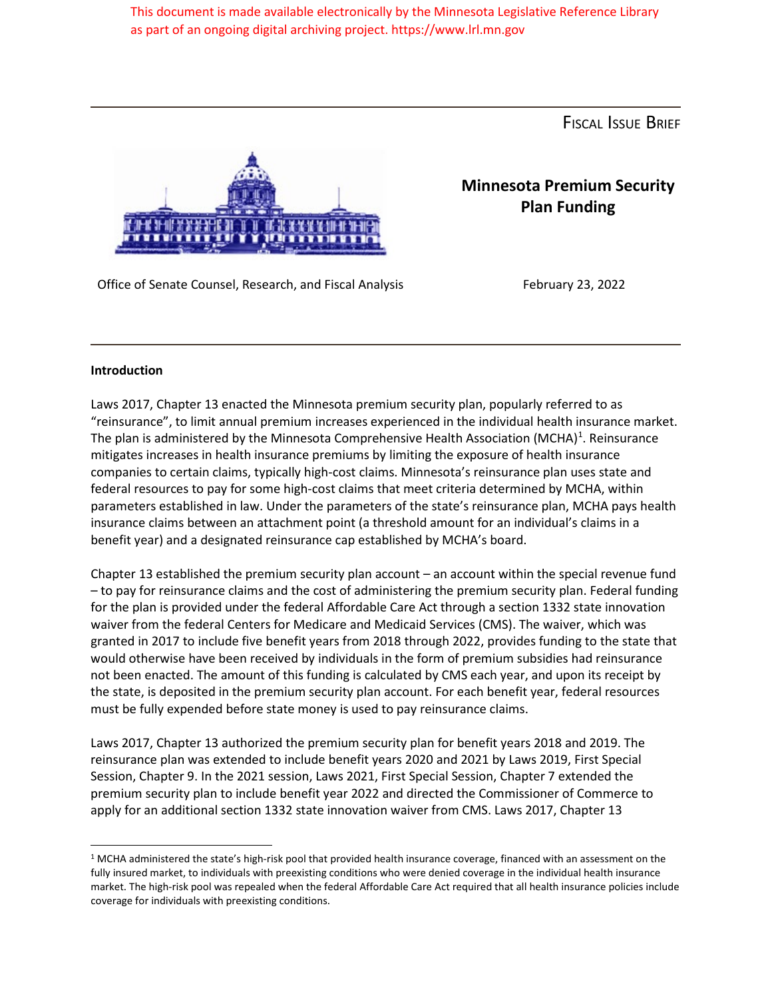This document is made available electronically by the Minnesota Legislative Reference Library as part of an ongoing digital archiving project. https://www.lrl.mn.gov

FISCAL ISSUE BRIEF



**Minnesota Premium Security Plan Funding**

Office of Senate Counsel, Research, and Fiscal Analysis February 23, 2022

## **Introduction**

Laws 2017, Chapter 13 enacted the Minnesota premium security plan, popularly referred to as "reinsurance", to limit annual premium increases experienced in the individual health insurance market. The plan is administered by the Minnesota Comprehensive Health Association (MCHA)<sup>1</sup>. Reinsurance mitigates increases in health insurance premiums by limiting the exposure of health insurance companies to certain claims, typically high-cost claims. Minnesota's reinsurance plan uses state and federal resources to pay for some high-cost claims that meet criteria determined by MCHA, within parameters established in law. Under the parameters of the state's reinsurance plan, MCHA pays health insurance claims between an attachment point (a threshold amount for an individual's claims in a benefit year) and a designated reinsurance cap established by MCHA's board.

Chapter 13 established the premium security plan account – an account within the special revenue fund – to pay for reinsurance claims and the cost of administering the premium security plan. Federal funding for the plan is provided under the federal Affordable Care Act through a section 1332 state innovation waiver from the federal Centers for Medicare and Medicaid Services (CMS). The waiver, which was granted in 2017 to include five benefit years from 2018 through 2022, provides funding to the state that would otherwise have been received by individuals in the form of premium subsidies had reinsurance not been enacted. The amount of this funding is calculated by CMS each year, and upon its receipt by the state, is deposited in the premium security plan account. For each benefit year, federal resources must be fully expended before state money is used to pay reinsurance claims.

Laws 2017, Chapter 13 authorized the premium security plan for benefit years 2018 and 2019. The reinsurance plan was extended to include benefit years 2020 and 2021 by Laws 2019, First Special Session, Chapter 9. In the 2021 session, Laws 2021, First Special Session, Chapter 7 extended the premium security plan to include benefit year 2022 and directed the Commissioner of Commerce to apply for an additional section 1332 state innovation waiver from CMS. Laws 2017, Chapter 13

<sup>&</sup>lt;sup>1</sup> MCHA administered the state's high-risk pool that provided health insurance coverage, financed with an assessment on the fully insured market, to individuals with preexisting conditions who were denied coverage in the individual health insurance market. The high-risk pool was repealed when the federal Affordable Care Act required that all health insurance policies include coverage for individuals with preexisting conditions.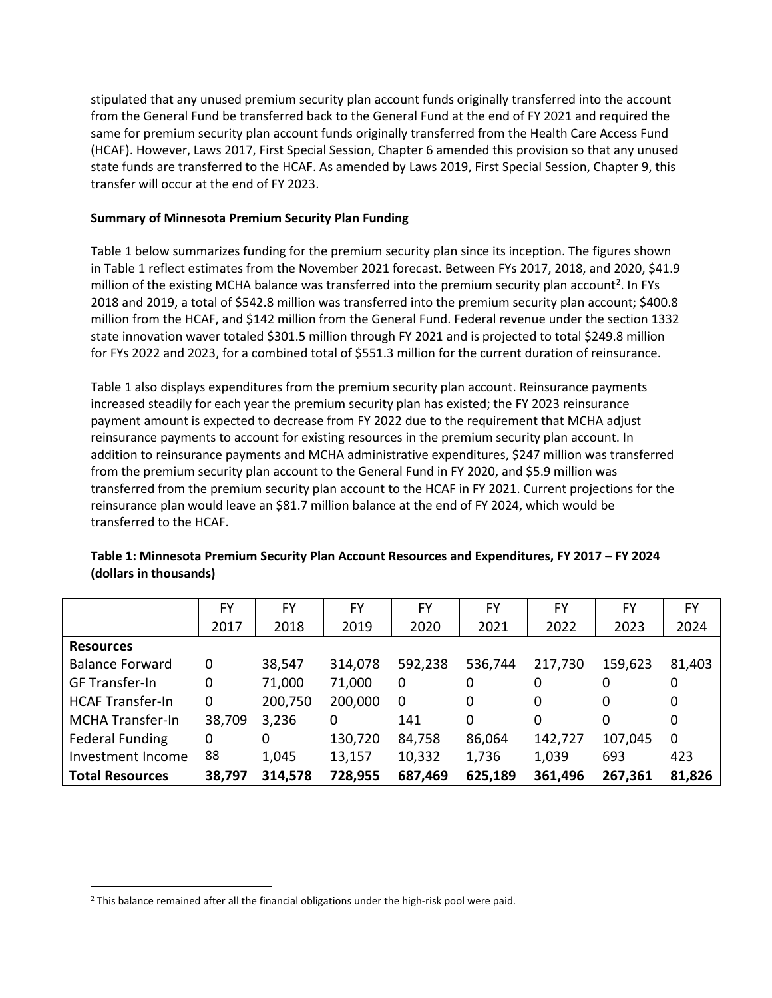stipulated that any unused premium security plan account funds originally transferred into the account from the General Fund be transferred back to the General Fund at the end of FY 2021 and required the same for premium security plan account funds originally transferred from the Health Care Access Fund (HCAF). However, Laws 2017, First Special Session, Chapter 6 amended this provision so that any unused state funds are transferred to the HCAF. As amended by Laws 2019, First Special Session, Chapter 9, this transfer will occur at the end of FY 2023.

## **Summary of Minnesota Premium Security Plan Funding**

Table 1 below summarizes funding for the premium security plan since its inception. The figures shown in Table 1 reflect estimates from the November 2021 forecast. Between FYs 2017, 2018, and 2020, \$41.9 million of the existing MCHA balance was transferred into the premium security plan account<sup>[2](#page-1-0)</sup>. In FYs 2018 and 2019, a total of \$542.8 million was transferred into the premium security plan account; \$400.8 million from the HCAF, and \$142 million from the General Fund. Federal revenue under the section 1332 state innovation waver totaled \$301.5 million through FY 2021 and is projected to total \$249.8 million for FYs 2022 and 2023, for a combined total of \$551.3 million for the current duration of reinsurance.

Table 1 also displays expenditures from the premium security plan account. Reinsurance payments increased steadily for each year the premium security plan has existed; the FY 2023 reinsurance payment amount is expected to decrease from FY 2022 due to the requirement that MCHA adjust reinsurance payments to account for existing resources in the premium security plan account. In addition to reinsurance payments and MCHA administrative expenditures, \$247 million was transferred from the premium security plan account to the General Fund in FY 2020, and \$5.9 million was transferred from the premium security plan account to the HCAF in FY 2021. Current projections for the reinsurance plan would leave an \$81.7 million balance at the end of FY 2024, which would be transferred to the HCAF.

|                         | FY     | FY      | FY      | FY      | FY      | FY      | FY      | FY           |
|-------------------------|--------|---------|---------|---------|---------|---------|---------|--------------|
|                         | 2017   | 2018    | 2019    | 2020    | 2021    | 2022    | 2023    | 2024         |
| <b>Resources</b>        |        |         |         |         |         |         |         |              |
| <b>Balance Forward</b>  | 0      | 38,547  | 314,078 | 592,238 | 536,744 | 217,730 | 159,623 | 81,403       |
| <b>GF Transfer-In</b>   | 0      | 71,000  | 71,000  | 0       | 0       | 0       | 0       | 0            |
| <b>HCAF Transfer-In</b> | 0      | 200,750 | 200,000 | 0       | 0       | 0       | 0       | 0            |
| <b>MCHA Transfer-In</b> | 38,709 | 3,236   | 0       | 141     | 0       | 0       | 0       | 0            |
| <b>Federal Funding</b>  | 0      | 0       | 130,720 | 84,758  | 86,064  | 142,727 | 107,045 | $\mathbf{0}$ |
| Investment Income       | 88     | 1,045   | 13,157  | 10,332  | 1,736   | 1,039   | 693     | 423          |
| <b>Total Resources</b>  | 38,797 | 314,578 | 728,955 | 687,469 | 625,189 | 361,496 | 267,361 | 81,826       |

**Table 1: Minnesota Premium Security Plan Account Resources and Expenditures, FY 2017 – FY 2024 (dollars in thousands)**

<span id="page-1-0"></span><sup>2</sup> This balance remained after all the financial obligations under the high-risk pool were paid.